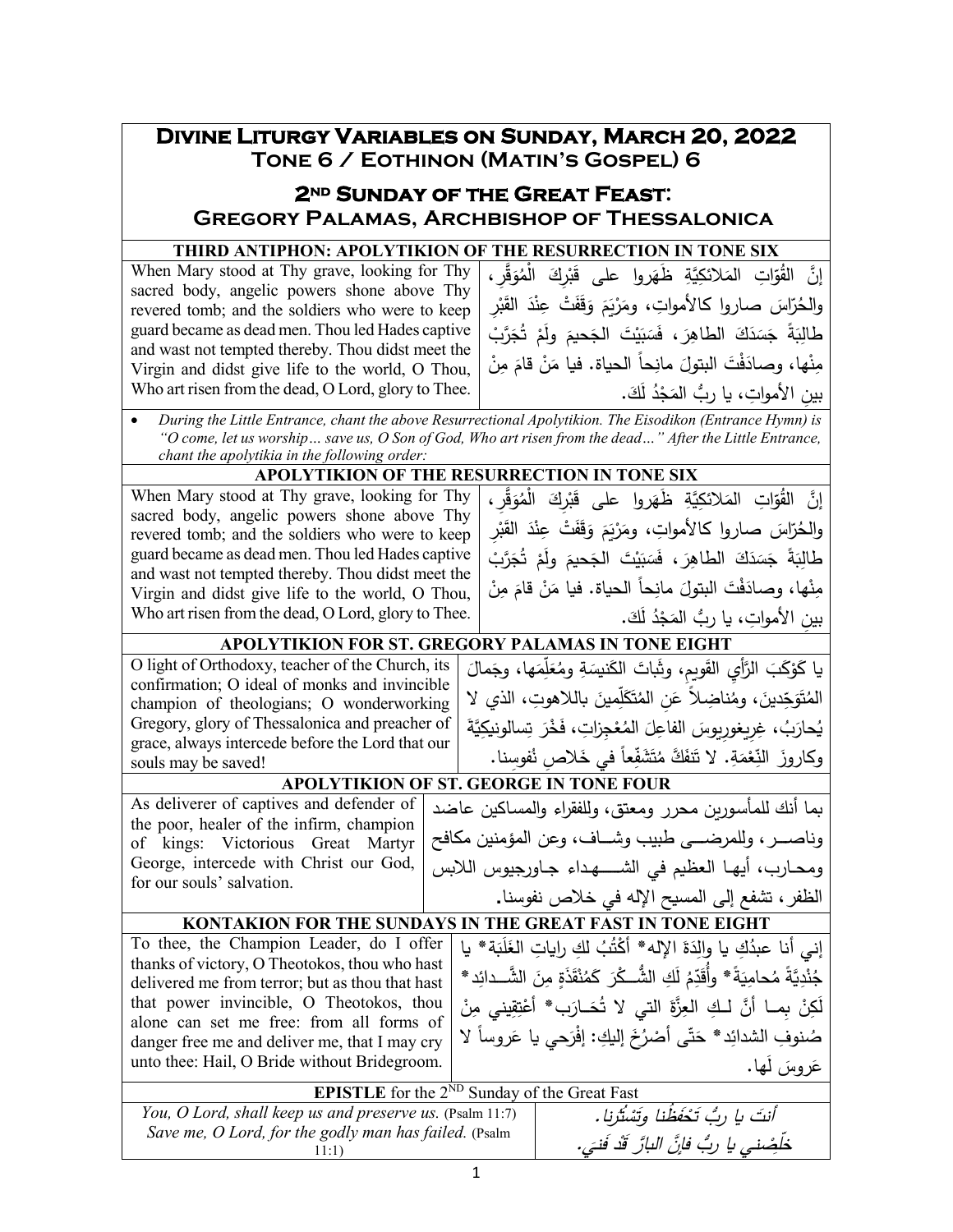# **Divine Liturgy Variables on Sunday, March 20, 2022 Tone 6 / Eothinon (Matin's Gospel) 6**

## **2nd Sunday of the Great Feast: Gregory Palamas, Archbishop of Thessalonica**

#### **THIRD ANTIPHON: APOLYTIKION OF THE RESURRECTION IN TONE SIX**

| sacred body, angelic powers shone above Thy<br>revered tomb; and the soldiers who were to keep<br>guard became as dead men. Thou led Hades captive<br>and wast not tempted thereby. Thou didst meet the |
|---------------------------------------------------------------------------------------------------------------------------------------------------------------------------------------------------------|
|                                                                                                                                                                                                         |
|                                                                                                                                                                                                         |
|                                                                                                                                                                                                         |
|                                                                                                                                                                                                         |
| Virgin and didst give life to the world, O Thou,                                                                                                                                                        |
| Who art risen from the dead, O Lord, glory to Thee.                                                                                                                                                     |

| إِنَّ   القُوّاتِ   المَلائكِيَّةِ    ظَهَروا    على    قَبْركَ    الْمُوَقَّرِ ، |
|-----------------------------------------------------------------------------------|
| والحُرّاسَ صاروا كالأمواتِ، ومَرْبَمَ وَقَفَتْ عِنْدَ القَبْرِ                    |
| طَالِبَةً جَسَدَكَ الطاهِرَ ، فَسَبَيْتَ الجَحيمَ ولَمْ تُجَرَّبْ                 |
| مِنْها، وصادَفْتَ البتولَ مانِحاً الحياة. فيا مَنْ قامَ مِنْ                      |
| بين الأمواتِ، يا ربُّ المَجْدُ لَكَ.                                              |
|                                                                                   |

• *During the Little Entrance, chant the above Resurrectional Apolytikion. The Eisodikon (Entrance Hymn) is "O come, let us worship… save us, O Son of God, Who art risen from the dead…" After the Little Entrance, chant the apolytikia in the following order:*

#### **APOLYTIKION OF THE RESURRECTION IN TONE SIX**

When Mary stood at Thy grave, looking for Thy sacred body, angelic powers shone above Thy revered tomb; and the soldiers who were to keep guard became as dead men. Thou led Hades captive and wast not tempted thereby. Thou didst meet the Virgin and didst give life to the world, O Thou, Who art risen from the dead, O Lord, glory to Thee. إنَّ القُوّاتِ المَلائكِيَّةِ ظَهَروا على قَبْرِكَ الْمُوَقَّرِ،<br>-ْ والحُرّاسَ صاروا كالأمواتِ، ومَرْيَمَ وَقَفَتْ عِنْدَ القَبْرِ<br>منسعً ْ .<br>ا ﯩﺒﻴﺖ ﺳﺠﺤﻴﻢ<br>گ طَالِبَةً جَسَدَكَ الطاهِرَ ، فَسَبَيْتَ الجَحيمَ ولَمْ تُجَرَّبْ<br>م .<br>-مِنْها، وصادَفْتَ البتولَ مانِحاً الحياة. فيا مَنْ قامَ مِنْ<br>\* .َ َك ُ ل ْد َج ِ بین ِ الأموات ُّ ، �ا رب الم

# **APOLYTIKION FOR ST. GREGORY PALAMAS IN TONE EIGHT** َ �ا � َّ الر ِ أي ا َ َب َ و ل ْ� َمال َها، وج ِم ل َّ ُع ِ وم َة َن�س �ات الك َ َ َ ِو�م، وث ق

O light of Orthodoxy, teacher of the Church, its confirmation; O ideal of monks and invincible champion of theologians; O wonderworking Gregory, glory of Thessalonica and preacher of grace, always intercede before the Lord that our souls may be saved!

for our souls' salvation.

## وكاروزَ النِّعْمَةِ. لا تَنفَكَّ مُتَشَفِّعاً في خَلاصِ نُفوسِنا.<br>جَمَعَتِهِ جَمَعَتِهِ مُسْتَمَرِّ بِمَنْ الْمُسَوِّرِ **APOLYTIKION OF ST. GEORGE IN TONE FOUR** As deliverer of captives and defender of

the poor, healer of the infirm, champion of kings: Victorious Great Martyr George, intercede with Christ our God, �ما أنك للمأسـور�ن محرر ومعتق، وللفقراء والمسـاكین عاضد وناصـــــــر، وللمرضـــــــى طبیب وشـــــــاف، وعن المؤمنین مكافح ومحـارب، أيهـا العظيم في الشــــهداء جـاورجيوس اللابس الظفر، تشفع إلى المس�ح الإله في خلاص نفوسنا**.**

المُتَوَجِّدينَ، ومُناضِلاً عَنِ المُتَكَلِّمينَ باللاهوتِ، الذي لا<br>. َِّ� َة ِسالون�ك َ ت َ ْخر ْ ِج ِزات، ف ُع َ الم �وس ِ الفاعل ُ ِ ، غِر ِ �غور َ َب ُحار �

### **KONTAKION FOR THE SUNDAYS IN THE GREAT FAST IN TONE EIGHT**

To thee, the Champion Leader, do I offer thanks of victory, O Theotokos, thou who hast delivered me from terror; but as thou that hast that power invincible, O Theotokos, thou alone can set me free: from all forms of danger free me and deliver me, that I may cry unto thee: Hail, O Bride without Bridegroom. <u>:</u>

َة\* �ا �َ َل ُ ِ لك ِ را�ات الغ ُب ْت َ الإله\* أك َة ِد ِك �ا وال ُ إني أنا عبد جُنْدِيَّةً مُحامِيَةً\* وأُقَدِّمُ لَكِ الشُّــكْرَ كَمُنْقَذَةٍ مِنَ الشَّــدائِدِ\*<br>يَجِدَّدِيَّةً مُحامِيَةً\* وأُقَدِّمُ لَكِ الشُّــكْرَ كَمُنْقَذَةٍ مِنَ الشَّــدائِدِ\* لَكِنْ بِمــا أنَّ لــكِ العِزَّةَ التي لا تُحَــارَب\* أَعْتِقِيني مِنْ صُنوفِ الشدائِد\* حَتّى أَصْرُخَ إليكِ: إفْرَحي يا عَروساً لا َها. روس ل َ َ ع

| <b>EPISTLE</b> for the $2^{ND}$ Sunday of the Great Fast                                                          |                                                                                         |
|-------------------------------------------------------------------------------------------------------------------|-----------------------------------------------------------------------------------------|
| You, O Lord, shall keep us and preserve us. (Psalm 11:7)<br>Save me, O Lord, for the godly man has failed. (Psalm | أنتَ يا ربُ تَحْفَظُنا وتَسْتُرنا.<br>خَلْضِنِي يا رِبُّ فَإِنَّ الْبَارَّ قَدْ فَنِيَ. |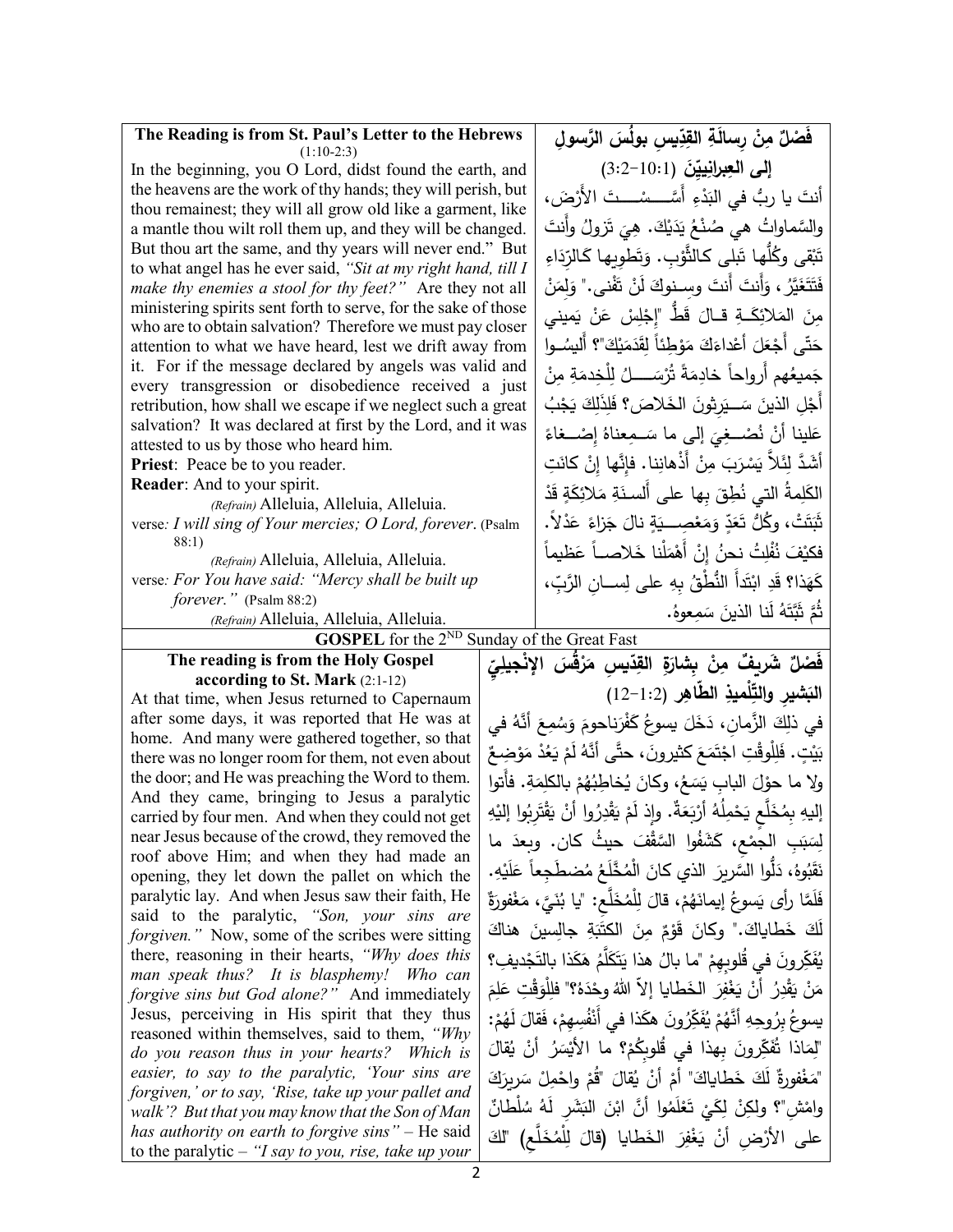| The Reading is from St. Paul's Letter to the Hebrews                                                                      |  | فَصْلٌ مِنْ رسالَةِ القِدِّيسِ بولَسَ الرَّسولِ                                                                                       |  |  |
|---------------------------------------------------------------------------------------------------------------------------|--|---------------------------------------------------------------------------------------------------------------------------------------|--|--|
| $(1:10-2:3)$<br>In the beginning, you O Lord, didst found the earth, and                                                  |  | إلى العِبرانِييّنَ (19:1-3:2)                                                                                                         |  |  |
| the heavens are the work of thy hands; they will perish, but                                                              |  |                                                                                                                                       |  |  |
| thou remainest; they will all grow old like a garment, like                                                               |  | أنتَ يا ربُّ في البَدْءِ أُسَّـــسْـــتَ الأَرْضَ،                                                                                    |  |  |
| a mantle thou wilt roll them up, and they will be changed.                                                                |  | والسَّماواتُ هي صُنْعُ يَدَيْكَ. هِيَ تَزولُ وأَنتَ                                                                                   |  |  |
| But thou art the same, and thy years will never end." But                                                                 |  | تَبْقى وكُلُّها تَبلى كالثُّوْبِ. وَتَطويها كَالرِّدَاءِ                                                                              |  |  |
| to what angel has he ever said, "Sit at my right hand, till I<br>make thy enemies a stool for thy feet?" Are they not all |  | فَتَتَغَيَّرُ ، وَأَنتَ أَنتَ وسنوكَ لَنْ تَفْنى." وَلِمَنْ                                                                           |  |  |
| ministering spirits sent forth to serve, for the sake of those                                                            |  |                                                                                                                                       |  |  |
| who are to obtain salvation? Therefore we must pay closer                                                                 |  | مِنَ المَلائِكَــةِ قــالَ قَطِّ "إِجْلِسْ عَنْ يَميني                                                                                |  |  |
| attention to what we have heard, lest we drift away from                                                                  |  | حَتَّى أَجْعَلَ أَعْداءَكَ مَوْطِئاً لِقَدَمَيْكَ"؟ أَليسُــوا                                                                        |  |  |
| it. For if the message declared by angels was valid and                                                                   |  | جَميعُهم أرواحاً خادِمَةً تُرْسَــــلُ لِلْخِدمَةِ مِنْ                                                                               |  |  |
| every transgression or disobedience received a just<br>retribution, how shall we escape if we neglect such a great        |  | أَجْلِ الذينَ سَـــيَرِثُونَ الخَلاصَ؟ فَلِذَلِكَ يَجْبُ                                                                              |  |  |
| salvation? It was declared at first by the Lord, and it was                                                               |  |                                                                                                                                       |  |  |
| attested to us by those who heard him.                                                                                    |  | عَلينا أَنْ نُصْـغِيَ إِلَى ما سَـمِعناهُ إِصْــغاءً                                                                                  |  |  |
| Priest: Peace be to you reader.                                                                                           |  | أَشَدَّ لِثَلاَّ يَسْرَبَ مِنْ أَذْهانِنا. فإِنَّها إِنْ كانَتِ                                                                       |  |  |
| Reader: And to your spirit.                                                                                               |  | الكَلِمةُ التي نُطِقَ بِها على أَلسنَةِ مَلائِكَةٍ قَدْ                                                                               |  |  |
| (Refrain) Alleluia, Alleluia, Alleluia.                                                                                   |  | ثَبَتَتْ، وكُلُّ تَعَدِّ وَمَعْصِــــيَةٍ نالَ جَزاءً عَدْلاً.                                                                        |  |  |
| verse: I will sing of Your mercies; O Lord, forever. (Psalm<br>88:1)                                                      |  |                                                                                                                                       |  |  |
| (Refrain) Alleluia, Alleluia, Alleluia.                                                                                   |  | فكيْفَ نُفْلِتُ نحنُ إِنْ أَهْمَلْنا خَلاصــاً عَظيماً                                                                                |  |  |
| verse: For You have said: "Mercy shall be built up                                                                        |  | كَهَذا؟ قَدِ ابْتَدَأَ النُّطْقُ بِهِ على لِســانِ الرَّبِّ،                                                                          |  |  |
| forever." (Psalm 88:2)                                                                                                    |  | ثُمَّ ثَبَّتَهُ لَنا الذينَ سَمِعوهُ.                                                                                                 |  |  |
| (Refrain) Alleluia, Alleluia, Alleluia.                                                                                   |  |                                                                                                                                       |  |  |
|                                                                                                                           |  |                                                                                                                                       |  |  |
| <b>GOSPEL</b> for the 2 <sup>ND</sup> Sunday of the Great Fast                                                            |  |                                                                                                                                       |  |  |
| The reading is from the Holy Gospel                                                                                       |  | فَصْلٌ شَريفٌ مِنْ بِشارَةِ القِدّيسِ مَرْقَسَ الإِنْجِيلِيِّ                                                                         |  |  |
| according to St. Mark (2:1-12)<br>At that time, when Jesus returned to Capernaum                                          |  | البَشير والتِّلْميذِ الطَّاهِرِ (1:2-12)                                                                                              |  |  |
| after some days, it was reported that He was at                                                                           |  |                                                                                                                                       |  |  |
| home. And many were gathered together, so that                                                                            |  | في ذلِكَ الزَّمانِ، دَخَلَ يسوعُ كَفْرَناحومَ وَسُمِعَ أَنَّهُ في                                                                     |  |  |
| there was no longer room for them, not even about                                                                         |  | بَيْتٍ. فَلِلْوقْتِ اجْتَمَعَ كثيرونَ، حتَّى أَنَّهُ لَمْ يَعُدْ مَوْضِعٌ                                                             |  |  |
| the door; and He was preaching the Word to them.                                                                          |  | ولا ما حوْلَ البابِ يَسَعُ، وكانَ يُخاطِبُهُمْ بالكلِمَةِ. فأَتوا                                                                     |  |  |
| And they came, bringing to Jesus a paralytic<br>carried by four men. And when they could not get                          |  |                                                                                                                                       |  |  |
| near Jesus because of the crowd, they removed the                                                                         |  | إليهِ بِمُخَلَّعٍ يَحْمِلُهُ أَرْبَعَةٌ. وإِذ لَمْ يَقْدِرُوا أَنْ يَقْتَرِبُوا إِلَيْهِ                                              |  |  |
| roof above Him; and when they had made an                                                                                 |  | لِسَبَبِ الْجِمْعِ، كَشَفُوا السَّقْفَ حيثُ كان. وبعدَ ما                                                                             |  |  |
| opening, they let down the pallet on which the                                                                            |  | نَقَبُوهُ، دَلُّوا السَّرِيرَ الذي كانَ الْمُخَّلَعُ مُضطَجِعاً عَلَيْهِ.                                                             |  |  |
| paralytic lay. And when Jesus saw their faith, He                                                                         |  | فَلَمَّا رأى يَسوعُ إيمانَهُمْ، قالَ لِلْمُخَلَّعِ: "يا بُنَيَّ، مَغْفورَةٌ                                                           |  |  |
| said to the paralytic, "Son, your sins are                                                                                |  | لَكَ خَطَاياكَ." وكانَ قَوْمٌ مِنَ الكَتَبَةِ جالِسينَ هناكَ                                                                          |  |  |
| <i>forgiven.</i> " Now, some of the scribes were sitting<br>there, reasoning in their hearts, "Why does this              |  |                                                                                                                                       |  |  |
| man speak thus? It is blasphemy! Who can                                                                                  |  | يُفَكِّرِ ونَ في قُلوبِهِمْ "ما بالُ هذا يَتَكَلَّمُ هَكَذا بالتَجْديفِ؟                                                              |  |  |
| forgive sins but God alone?" And immediately                                                                              |  | مَنْ يَقْدِرُ ۚ أَنْ يَغْفِرَ الخَطَايا إِلاَّ اللَّهُ وِحْدَهُ؟" فَلِلْوَقْتِ عَلِمَ                                                 |  |  |
| Jesus, perceiving in His spirit that they thus                                                                            |  | يسوعُ برُوحِهِ أَنَّهُمْ يُفَكِّرُونَ هكَذا في أَنْفُسِهِمْ، فَقالَ لَهُمْ:                                                           |  |  |
| reasoned within themselves, said to them, "Why<br>do you reason thus in your hearts? Which is                             |  | "لِمَاذا ثُفَكِّرونَ بِهذا في قُلوبِكُمْ؟ ما الأَيْسَرُ أَنْ يُقالَ                                                                   |  |  |
| easier, to say to the paralytic, 'Your sins are                                                                           |  |                                                                                                                                       |  |  |
| forgiven,' or to say, 'Rise, take up your pallet and                                                                      |  | "مَغْفُورةٌ لَكَ خَطَاياكَ" أَمْ أَنْ يُقَالَ "قُمْ واحْمِلْ سَرِيرَكَ                                                                |  |  |
| walk'? But that you may know that the Son of Man<br>has authority on earth to forgive sins" – He said                     |  | وامْش"؟ ولكِنْ لِكَيْ تَعْلَمُوا أَنَّ ابْنَ النَشَرِ لَهُ سُلْطانٌ<br>على الأَرْضِ أَنْ يَغْفِرَ الخَطايا (قالَ لِلْمُخَلَّعِ) "لَكَ |  |  |